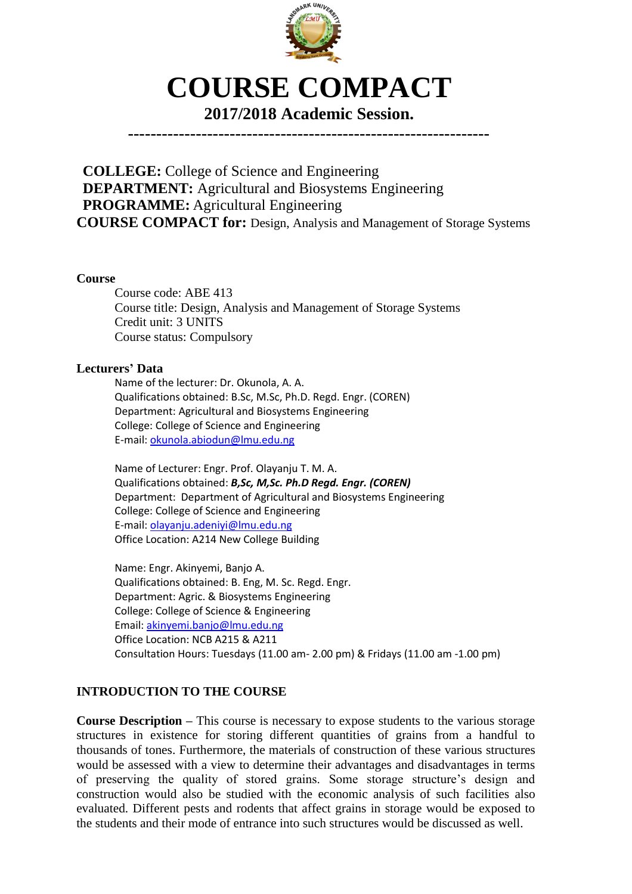

# **COURSE COMPACT**

# **2017/2018 Academic Session.**

**----------------------------------------------------------------**

**COLLEGE:** College of Science and Engineering **DEPARTMENT:** Agricultural and Biosystems Engineering **PROGRAMME:** Agricultural Engineering **COURSE COMPACT for:** Design, Analysis and Management of Storage Systems

#### **Course**

Course code: ABE 413 Course title: Design, Analysis and Management of Storage Systems Credit unit: 3 UNITS Course status: Compulsory

#### **Lecturers' Data**

Name of the lecturer: Dr. Okunola, A. A. Qualifications obtained: B.Sc, M.Sc, Ph.D. Regd. Engr. (COREN) Department: Agricultural and Biosystems Engineering College: College of Science and Engineering E-mail: [okunola.abiodun@lmu.edu.ng](mailto:okunola.abiodun@lmu.edu.ng)

Name of Lecturer: Engr. Prof. Olayanju T. M. A. Qualifications obtained: *B,Sc, M,Sc. Ph.D Regd. Engr. (COREN)* Department: Department of Agricultural and Biosystems Engineering College: College of Science and Engineering E-mail: [olayanju.adeniyi@lmu.edu.ng](mailto:olayanju.adeniyi@lmu.edu.ng) Office Location: A214 New College Building

Name: Engr. Akinyemi, Banjo A. Qualifications obtained: B. Eng, M. Sc. Regd. Engr. Department: Agric. & Biosystems Engineering College: College of Science & Engineering Email: [akinyemi.banjo@lmu.edu.ng](mailto:akinyemi.banjo@lmu.edu.ng) Office Location: NCB A215 & A211 Consultation Hours: Tuesdays (11.00 am- 2.00 pm) & Fridays (11.00 am -1.00 pm)

# **INTRODUCTION TO THE COURSE**

**Course Description –** This course is necessary to expose students to the various storage structures in existence for storing different quantities of grains from a handful to thousands of tones. Furthermore, the materials of construction of these various structures would be assessed with a view to determine their advantages and disadvantages in terms of preserving the quality of stored grains. Some storage structure's design and construction would also be studied with the economic analysis of such facilities also evaluated. Different pests and rodents that affect grains in storage would be exposed to the students and their mode of entrance into such structures would be discussed as well.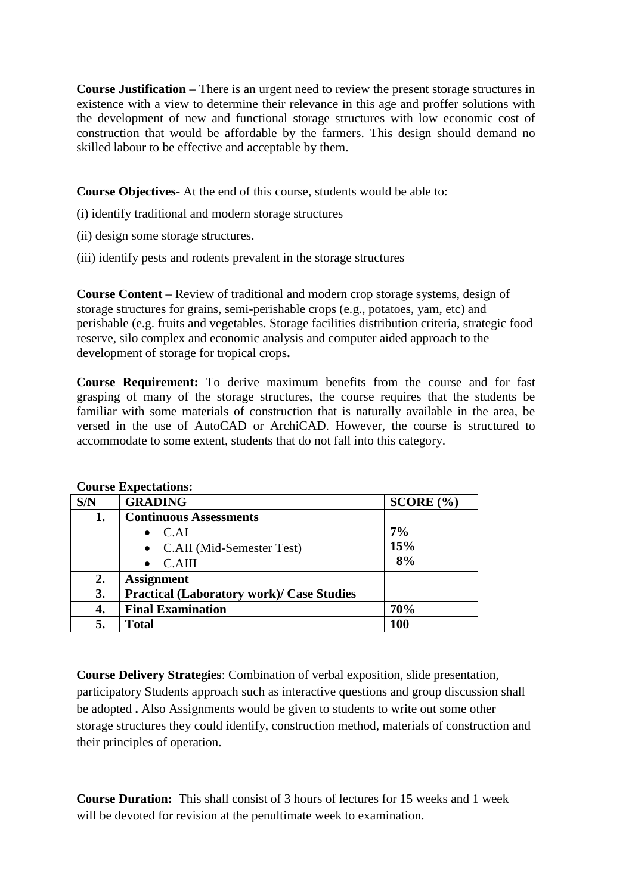**Course Justification –** There is an urgent need to review the present storage structures in existence with a view to determine their relevance in this age and proffer solutions with the development of new and functional storage structures with low economic cost of construction that would be affordable by the farmers. This design should demand no skilled labour to be effective and acceptable by them.

**Course Objectives-** At the end of this course, students would be able to:

- (i) identify traditional and modern storage structures
- (ii) design some storage structures.
- (iii) identify pests and rodents prevalent in the storage structures

**Course Content –** Review of traditional and modern crop storage systems, design of storage structures for grains, semi-perishable crops (e.g., potatoes, yam, etc) and perishable (e.g. fruits and vegetables. Storage facilities distribution criteria, strategic food reserve, silo complex and economic analysis and computer aided approach to the development of storage for tropical crops**.**

**Course Requirement:** To derive maximum benefits from the course and for fast grasping of many of the storage structures, the course requires that the students be familiar with some materials of construction that is naturally available in the area, be versed in the use of AutoCAD or ArchiCAD. However, the course is structured to accommodate to some extent, students that do not fall into this category.

| S/N | <b>GRADING</b>                                   | SCORE (%) |
|-----|--------------------------------------------------|-----------|
| 1.  | <b>Continuous Assessments</b>                    |           |
|     | C.AI                                             | 7%        |
|     | • C.AII (Mid-Semester Test)                      | 15%       |
|     | C.AIII                                           | 8%        |
| 2.  | <b>Assignment</b>                                |           |
| 3.  | <b>Practical (Laboratory work)/ Case Studies</b> |           |
| 4.  | <b>Final Examination</b>                         | 70%       |
| 5.  | <b>Total</b>                                     | 100       |

**Course Expectations:**

**Course Delivery Strategies**: Combination of verbal exposition, slide presentation, participatory Students approach such as interactive questions and group discussion shall be adopted **.** Also Assignments would be given to students to write out some other storage structures they could identify, construction method, materials of construction and their principles of operation.

**Course Duration:** This shall consist of 3 hours of lectures for 15 weeks and 1 week will be devoted for revision at the penultimate week to examination.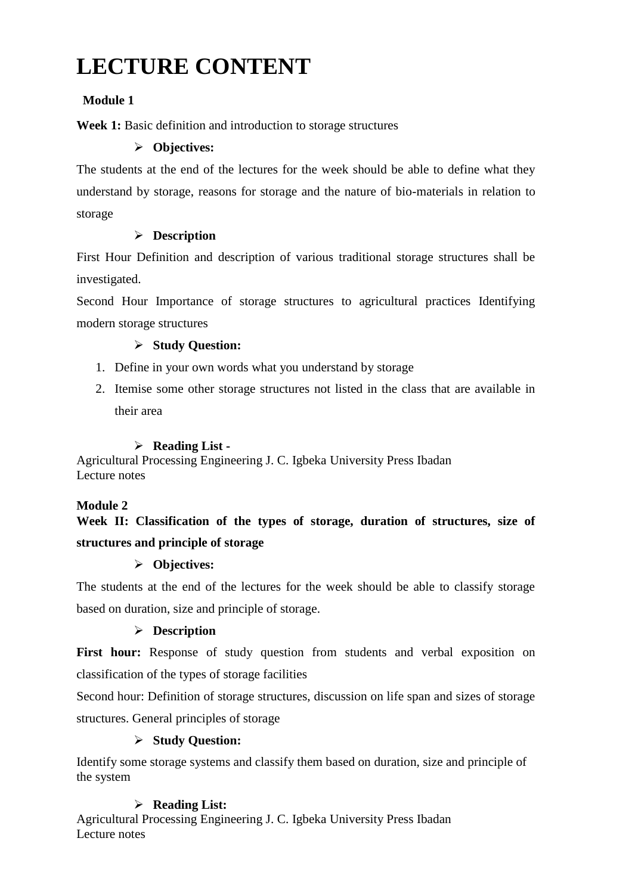# **LECTURE CONTENT**

# **Module 1**

**Week 1:** Basic definition and introduction to storage structures

# **Objectives:**

The students at the end of the lectures for the week should be able to define what they understand by storage, reasons for storage and the nature of bio-materials in relation to storage

# **Description**

First Hour Definition and description of various traditional storage structures shall be investigated.

Second Hour Importance of storage structures to agricultural practices Identifying modern storage structures

# **Study Question:**

- 1. Define in your own words what you understand by storage
- 2. Itemise some other storage structures not listed in the class that are available in their area

## **Reading List -**

Agricultural Processing Engineering J. C. Igbeka University Press Ibadan Lecture notes

## **Module 2**

# **Week II: Classification of the types of storage, duration of structures, size of structures and principle of storage**

# **Objectives:**

The students at the end of the lectures for the week should be able to classify storage based on duration, size and principle of storage.

# **Description**

First hour: Response of study question from students and verbal exposition on classification of the types of storage facilities

Second hour: Definition of storage structures, discussion on life span and sizes of storage structures. General principles of storage

# **Study Question:**

Identify some storage systems and classify them based on duration, size and principle of the system

# **Reading List:**

Agricultural Processing Engineering J. C. Igbeka University Press Ibadan Lecture notes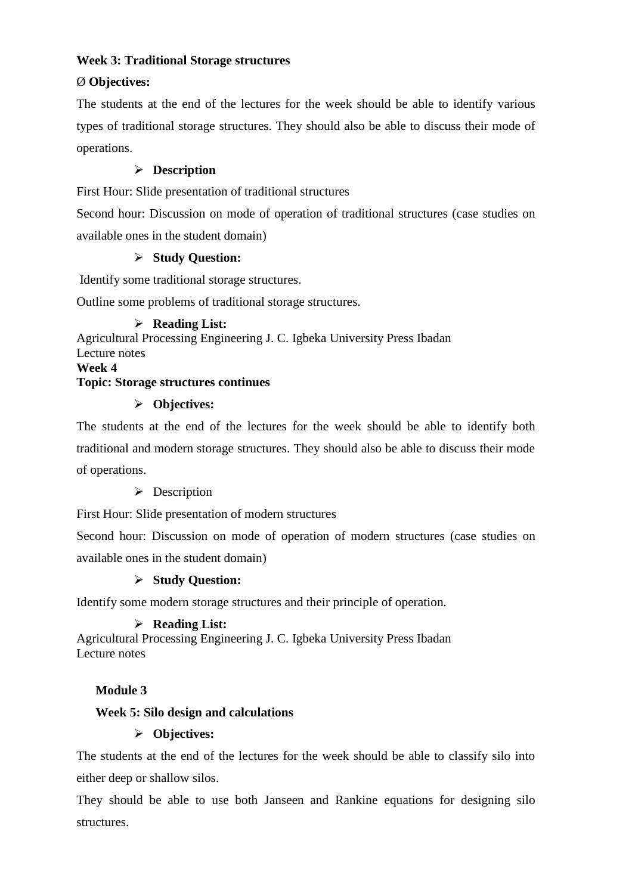## **Week 3: Traditional Storage structures**

# Ø **Objectives:**

The students at the end of the lectures for the week should be able to identify various types of traditional storage structures. They should also be able to discuss their mode of operations.

# **Description**

First Hour: Slide presentation of traditional structures

Second hour: Discussion on mode of operation of traditional structures (case studies on available ones in the student domain)

## **Study Question:**

Identify some traditional storage structures.

Outline some problems of traditional storage structures.

## **Reading List:**

Agricultural Processing Engineering J. C. Igbeka University Press Ibadan Lecture notes **Week 4**

## **Topic: Storage structures continues**

## **Objectives:**

The students at the end of the lectures for the week should be able to identify both traditional and modern storage structures. They should also be able to discuss their mode of operations.

## **Description**

First Hour: Slide presentation of modern structures

Second hour: Discussion on mode of operation of modern structures (case studies on available ones in the student domain)

## **Study Question:**

Identify some modern storage structures and their principle of operation.

# **Reading List:**

Agricultural Processing Engineering J. C. Igbeka University Press Ibadan Lecture notes

# **Module 3**

# **Week 5: Silo design and calculations**

# **Objectives:**

The students at the end of the lectures for the week should be able to classify silo into either deep or shallow silos.

They should be able to use both Janseen and Rankine equations for designing silo structures.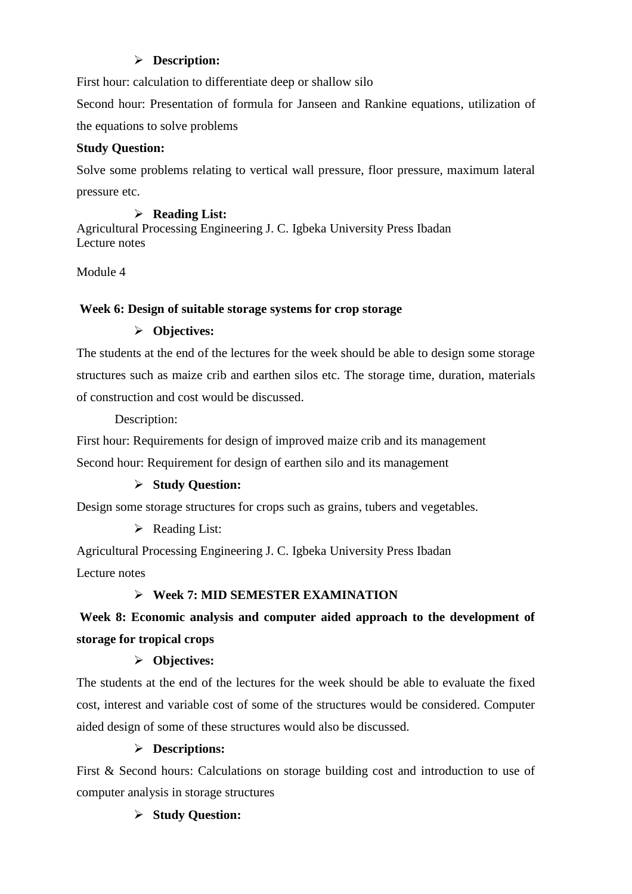# **Description:**

First hour: calculation to differentiate deep or shallow silo

Second hour: Presentation of formula for Janseen and Rankine equations, utilization of the equations to solve problems

# **Study Question:**

Solve some problems relating to vertical wall pressure, floor pressure, maximum lateral pressure etc.

## **Reading List:**

Agricultural Processing Engineering J. C. Igbeka University Press Ibadan Lecture notes

Module 4

## **Week 6: Design of suitable storage systems for crop storage**

## **Objectives:**

The students at the end of the lectures for the week should be able to design some storage structures such as maize crib and earthen silos etc. The storage time, duration, materials of construction and cost would be discussed.

Description:

First hour: Requirements for design of improved maize crib and its management Second hour: Requirement for design of earthen silo and its management

# **Study Question:**

Design some storage structures for crops such as grains, tubers and vegetables.

# $\triangleright$  Reading List:

Agricultural Processing Engineering J. C. Igbeka University Press Ibadan Lecture notes

# **Week 7: MID SEMESTER EXAMINATION**

# **Week 8: Economic analysis and computer aided approach to the development of storage for tropical crops**

# **Objectives:**

The students at the end of the lectures for the week should be able to evaluate the fixed cost, interest and variable cost of some of the structures would be considered. Computer aided design of some of these structures would also be discussed.

# **Descriptions:**

First & Second hours: Calculations on storage building cost and introduction to use of computer analysis in storage structures

# **Study Question:**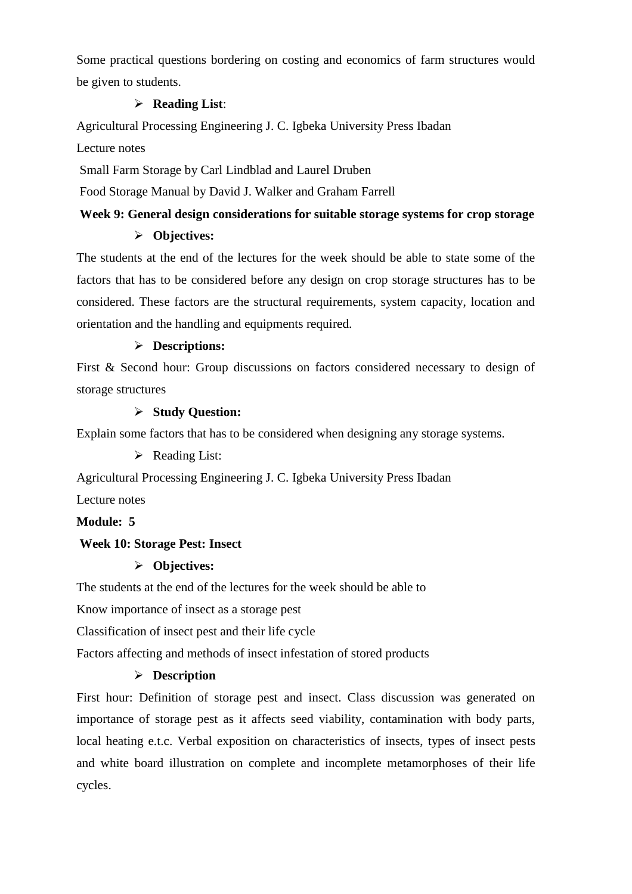Some practical questions bordering on costing and economics of farm structures would be given to students.

## **Reading List**:

Agricultural Processing Engineering J. C. Igbeka University Press Ibadan

Lecture notes

Small Farm Storage by Carl Lindblad and Laurel Druben

Food Storage Manual by David J. Walker and Graham Farrell

#### **Week 9: General design considerations for suitable storage systems for crop storage**

## **Objectives:**

The students at the end of the lectures for the week should be able to state some of the factors that has to be considered before any design on crop storage structures has to be considered. These factors are the structural requirements, system capacity, location and orientation and the handling and equipments required.

## **Descriptions:**

First & Second hour: Group discussions on factors considered necessary to design of storage structures

#### **Study Question:**

Explain some factors that has to be considered when designing any storage systems.

 $\triangleright$  Reading List:

Agricultural Processing Engineering J. C. Igbeka University Press Ibadan

Lecture notes

#### **Module: 5**

## **Week 10: Storage Pest: Insect**

## **Objectives:**

The students at the end of the lectures for the week should be able to

Know importance of insect as a storage pest

Classification of insect pest and their life cycle

Factors affecting and methods of insect infestation of stored products

## **Description**

First hour: Definition of storage pest and insect. Class discussion was generated on importance of storage pest as it affects seed viability, contamination with body parts, local heating e.t.c. Verbal exposition on characteristics of insects, types of insect pests and white board illustration on complete and incomplete metamorphoses of their life cycles.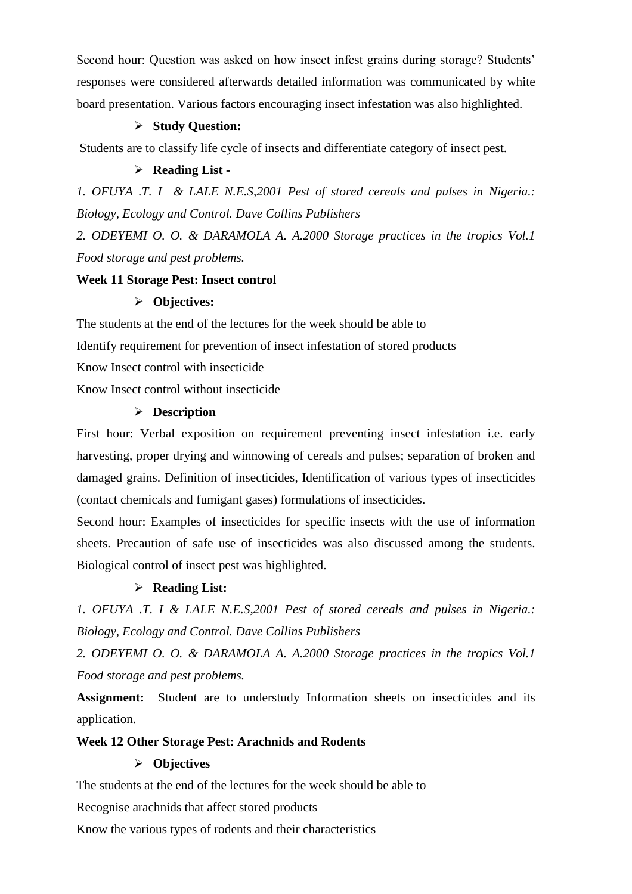Second hour: Question was asked on how insect infest grains during storage? Students' responses were considered afterwards detailed information was communicated by white board presentation. Various factors encouraging insect infestation was also highlighted.

#### **Study Question:**

Students are to classify life cycle of insects and differentiate category of insect pest.

#### **Reading List -**

*1. OFUYA .T. I & LALE N.E.S,2001 Pest of stored cereals and pulses in Nigeria.: Biology, Ecology and Control. Dave Collins Publishers*

*2. ODEYEMI O. O. & DARAMOLA A. A.2000 Storage practices in the tropics Vol.1 Food storage and pest problems.*

#### **Week 11 Storage Pest: Insect control**

#### **Objectives:**

The students at the end of the lectures for the week should be able to Identify requirement for prevention of insect infestation of stored products Know Insect control with insecticide Know Insect control without insecticide

#### **Description**

First hour: Verbal exposition on requirement preventing insect infestation i.e. early harvesting, proper drying and winnowing of cereals and pulses; separation of broken and damaged grains. Definition of insecticides, Identification of various types of insecticides (contact chemicals and fumigant gases) formulations of insecticides.

Second hour: Examples of insecticides for specific insects with the use of information sheets. Precaution of safe use of insecticides was also discussed among the students. Biological control of insect pest was highlighted.

#### **Reading List:**

*1. OFUYA .T. I & LALE N.E.S,2001 Pest of stored cereals and pulses in Nigeria.: Biology, Ecology and Control. Dave Collins Publishers*

*2. ODEYEMI O. O. & DARAMOLA A. A.2000 Storage practices in the tropics Vol.1 Food storage and pest problems.*

**Assignment:** Student are to understudy Information sheets on insecticides and its application.

#### **Week 12 Other Storage Pest: Arachnids and Rodents**

#### **Objectives**

The students at the end of the lectures for the week should be able to

Recognise arachnids that affect stored products

Know the various types of rodents and their characteristics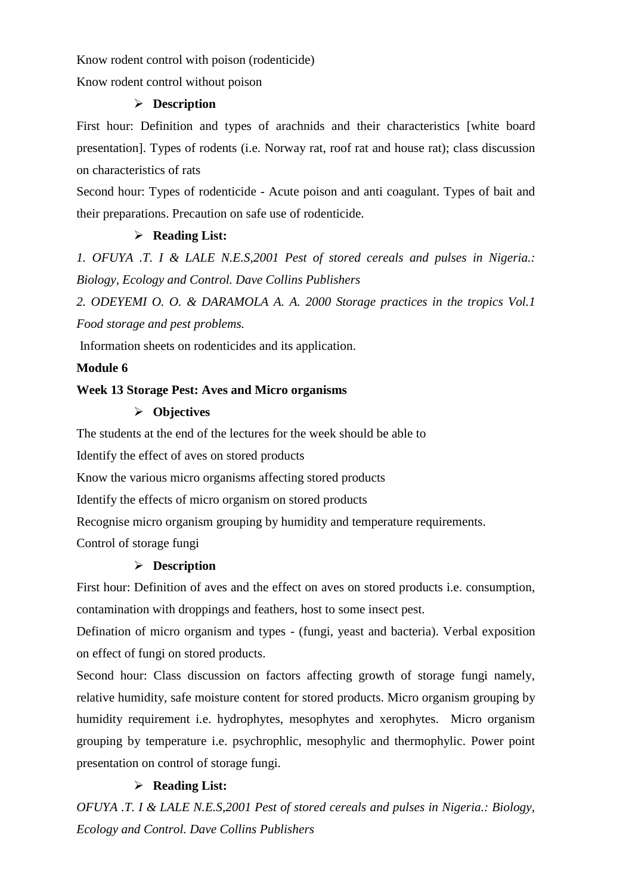Know rodent control with poison (rodenticide)

Know rodent control without poison

#### **Description**

First hour: Definition and types of arachnids and their characteristics [white board presentation]. Types of rodents (i.e. Norway rat, roof rat and house rat); class discussion on characteristics of rats

Second hour: Types of rodenticide - Acute poison and anti coagulant. Types of bait and their preparations. Precaution on safe use of rodenticide.

#### **Reading List:**

*1. OFUYA .T. I & LALE N.E.S,2001 Pest of stored cereals and pulses in Nigeria.: Biology, Ecology and Control. Dave Collins Publishers*

*2. ODEYEMI O. O. & DARAMOLA A. A. 2000 Storage practices in the tropics Vol.1 Food storage and pest problems.*

Information sheets on rodenticides and its application.

#### **Module 6**

#### **Week 13 Storage Pest: Aves and Micro organisms**

## **Objectives**

The students at the end of the lectures for the week should be able to

Identify the effect of aves on stored products

Know the various micro organisms affecting stored products

Identify the effects of micro organism on stored products

Recognise micro organism grouping by humidity and temperature requirements.

Control of storage fungi

## **Description**

First hour: Definition of aves and the effect on aves on stored products i.e. consumption, contamination with droppings and feathers, host to some insect pest.

Defination of micro organism and types - (fungi, yeast and bacteria). Verbal exposition on effect of fungi on stored products.

Second hour: Class discussion on factors affecting growth of storage fungi namely, relative humidity, safe moisture content for stored products. Micro organism grouping by humidity requirement i.e. hydrophytes, mesophytes and xerophytes. Micro organism grouping by temperature i.e. psychrophlic, mesophylic and thermophylic. Power point presentation on control of storage fungi.

#### **Reading List:**

*OFUYA .T. I & LALE N.E.S,2001 Pest of stored cereals and pulses in Nigeria.: Biology, Ecology and Control. Dave Collins Publishers*